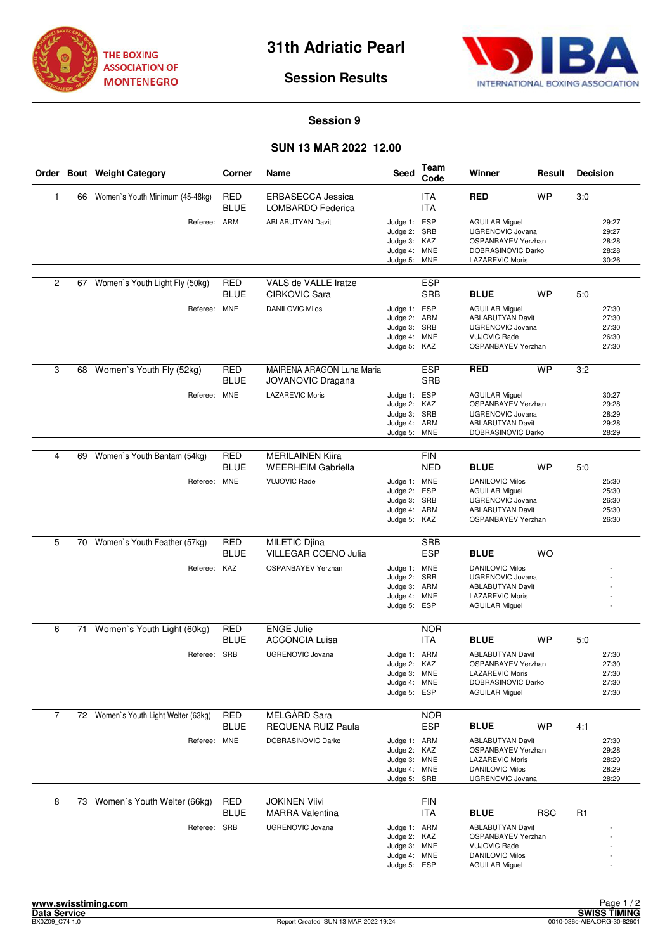



## **Session Results**

## **Session 9**

## **SUN 13 MAR 2022 12.00**

|                |    | Order Bout Weight Category           | Corner                    | Name                                                  | Seed                                                                         | Team<br>Code             | Winner                                                                                                                          | Result     | <b>Decision</b> |                                           |
|----------------|----|--------------------------------------|---------------------------|-------------------------------------------------------|------------------------------------------------------------------------------|--------------------------|---------------------------------------------------------------------------------------------------------------------------------|------------|-----------------|-------------------------------------------|
| 1              | 66 | Women's Youth Minimum (45-48kg)      | <b>RED</b><br><b>BLUE</b> | <b>ERBASECCA Jessica</b><br>LOMBARDO Federica         |                                                                              | <b>ITA</b><br><b>ITA</b> | <b>RED</b>                                                                                                                      | <b>WP</b>  | 3:0             |                                           |
|                |    | Referee: ARM                         |                           | <b>ABLABUTYAN Davit</b>                               | Judge 1: ESP<br>Judge 2: SRB<br>Judge 3: KAZ<br>Judge 4: MNE<br>Judge 5:     | <b>MNE</b>               | <b>AGUILAR Miguel</b><br>UGRENOVIC Jovana<br>OSPANBAYEV Yerzhan<br>DOBRASINOVIC Darko<br><b>LAZAREVIC Moris</b>                 |            |                 | 29:27<br>29:27<br>28:28<br>28:28<br>30:26 |
| $\overline{2}$ | 67 | Women's Youth Light Fly (50kg)       | <b>RED</b><br>BLUE        | VALS de VALLE Iratze<br>CIRKOVIC Sara                 |                                                                              | <b>ESP</b><br><b>SRB</b> | <b>BLUE</b>                                                                                                                     | WP         | 5:0             |                                           |
|                |    | Referee: MNE                         |                           | <b>DANILOVIC Milos</b>                                | Judge 1: ESP<br>Judge 2:<br>Judge 3: SRB<br>Judge 4: MNE<br>Judge 5: KAZ     | ARM                      | <b>AGUILAR Miguel</b><br><b>ABLABUTYAN Davit</b><br><b>UGRENOVIC Jovana</b><br><b>VUJOVIC Rade</b><br>OSPANBAYEV Yerzhan        |            |                 | 27:30<br>27:30<br>27:30<br>26:30<br>27:30 |
| 3              |    | 68 Women's Youth Fly (52kg)          | <b>RED</b><br>BLUE        | MAIRENA ARAGON Luna Maria<br><b>JOVANOVIC Dragana</b> |                                                                              | <b>ESP</b><br><b>SRB</b> | <b>RED</b>                                                                                                                      | <b>WP</b>  | 3:2             |                                           |
|                |    | Referee: MNE                         |                           | <b>LAZAREVIC Moris</b>                                | Judge 1: ESP<br>Judge 2: KAZ<br>Judge 3: SRB<br>Judge 4:<br>Judge 5:         | ARM<br><b>MNE</b>        | <b>AGUILAR Miguel</b><br>OSPANBAYEV Yerzhan<br><b>UGRENOVIC Jovana</b><br><b>ABLABUTYAN Davit</b><br>DOBRASINOVIC Darko         |            |                 | 30:27<br>29:28<br>28:29<br>29:28<br>28:29 |
|                |    |                                      |                           |                                                       |                                                                              |                          |                                                                                                                                 |            |                 |                                           |
| 4              | 69 | Women's Youth Bantam (54kg)          | <b>RED</b><br>BLUE        | <b>MERILAINEN Kiira</b><br><b>WEERHEIM Gabriella</b>  |                                                                              | <b>FIN</b><br><b>NED</b> | <b>BLUE</b>                                                                                                                     | <b>WP</b>  | 5:0             |                                           |
|                |    | Referee: MNE                         |                           | <b>VUJOVIC Rade</b>                                   | Judge 1: MNE<br>Judge 2:<br>Judge 3: SRB<br>Judge 4: ARM<br>Judge 5:         | <b>ESP</b><br>KAZ        | <b>DANILOVIC Milos</b><br><b>AGUILAR Miguel</b><br><b>UGRENOVIC Jovana</b><br><b>ABLABUTYAN Davit</b><br>OSPANBAYEV Yerzhan     |            |                 | 25:30<br>25:30<br>26:30<br>25:30<br>26:30 |
|                |    |                                      |                           |                                                       |                                                                              |                          |                                                                                                                                 |            |                 |                                           |
| 5              |    | 70 Women's Youth Feather (57kg)      | <b>RED</b><br><b>BLUE</b> | <b>MILETIC Djina</b><br><b>VILLEGAR COENO Julia</b>   |                                                                              | <b>SRB</b><br><b>ESP</b> | <b>BLUE</b>                                                                                                                     | WO         |                 |                                           |
|                |    | Referee: KAZ                         |                           | OSPANBAYEV Yerzhan                                    | Judge 1: MNE<br>Judge 2: SRB<br>Judge 3: ARM<br>Judge 4:<br>Judge 5:         | <b>MNE</b><br><b>ESP</b> | <b>DANILOVIC Milos</b><br><b>UGRENOVIC Jovana</b><br><b>ABLABUTYAN Davit</b><br><b>LAZAREVIC Moris</b><br><b>AGUILAR Miguel</b> |            |                 |                                           |
| 6              |    | 71 Women's Youth Light (60kg)        | <b>RED</b>                | <b>ENGE Julie</b>                                     |                                                                              | <b>NOR</b>               |                                                                                                                                 |            |                 |                                           |
|                |    |                                      | BLUE                      | <b>ACCONCIA Luisa</b>                                 |                                                                              | <b>ITA</b>               | <b>BLUE</b>                                                                                                                     | WP         | 5:0             |                                           |
|                |    | Referee: SRB                         |                           | <b>UGRENOVIC Jovana</b>                               | Judge 1: ARM<br>Judge 2:<br>Judge 3: MNE<br>Judge 4: MNE<br>Judge 5:         | KAZ<br>ESP               | <b>ABLABUTYAN Davit</b><br>OSPANBAYEV Yerzhan<br><b>LAZAREVIC Moris</b><br>DOBRASINOVIC Darko<br><b>AGUILAR Miguel</b>          |            |                 | 27:30<br>27:30<br>27:30<br>27:30<br>27:30 |
| $\overline{7}$ |    | 72 Women's Youth Light Welter (63kg) | RED<br>BLUE               | MELGÅRD Sara<br><b>REQUENA RUIZ Paula</b>             |                                                                              | <b>NOR</b><br><b>ESP</b> | <b>BLUE</b>                                                                                                                     | <b>WP</b>  | 4:1             |                                           |
|                |    | Referee: MNE                         |                           | DOBRASINOVIC Darko                                    | Judge 1: ARM<br>Judge 2: KAZ<br>Judge 3: MNE<br>Judge 4: MNE<br>Judge 5: SRB |                          | <b>ABLABUTYAN Davit</b><br>OSPANBAYEV Yerzhan<br><b>LAZAREVIC Moris</b><br><b>DANILOVIC Milos</b><br><b>UGRENOVIC Jovana</b>    |            |                 | 27:30<br>29:28<br>28:29<br>28:29<br>28:29 |
| 8              |    | 73 Women's Youth Welter (66kg)       | <b>RED</b><br>BLUE        | <b>JOKINEN Viivi</b><br><b>MARRA Valentina</b>        |                                                                              | <b>FIN</b><br>ITA        | <b>BLUE</b>                                                                                                                     | <b>RSC</b> | R <sub>1</sub>  |                                           |
|                |    | Referee: SRB                         |                           | <b>UGRENOVIC Jovana</b>                               | Judge 1: ARM<br>Judge 2:<br>Judge 3: MNE<br>Judge 4: MNE<br>Judge 5: ESP     | KAZ                      | <b>ABLABUTYAN Davit</b><br>OSPANBAYEV Yerzhan<br><b>VUJOVIC Rade</b><br><b>DANILOVIC Milos</b><br>AGUILAR Miguel                |            |                 |                                           |